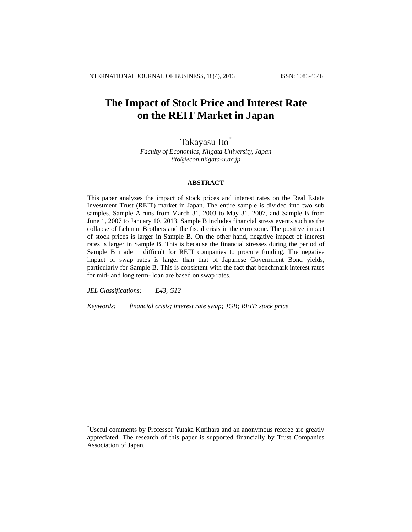# **The Impact of Stock Price and Interest Rate on the REIT Market in Japan**

# Takayasu Ito<sup>\*</sup>

*Faculty of Economics, Niigata University, Japan tito@econ.niigata-u.ac.jp*

# **ABSTRACT**

This paper analyzes the impact of stock prices and interest rates on the Real Estate Investment Trust (REIT) market in Japan. The entire sample is divided into two sub samples. Sample A runs from March 31, 2003 to May 31, 2007, and Sample B from June 1, 2007 to January 10, 2013. Sample B includes financial stress events such as the collapse of Lehman Brothers and the fiscal crisis in the euro zone. The positive impact of stock prices is larger in Sample B. On the other hand, negative impact of interest rates is larger in Sample B. This is because the financial stresses during the period of Sample B made it difficult for REIT companies to procure funding. The negative impact of swap rates is larger than that of Japanese Government Bond yields, particularly for Sample B. This is consistent with the fact that benchmark interest rates for mid- and long term- loan are based on swap rates.

*JEL Classifications: E43, G12* 

*Keywords: financial crisis; interest rate swap; JGB; REIT; stock price* 

<sup>\*</sup>Useful comments by Professor Yutaka Kurihara and an anonymous referee are greatly appreciated. The research of this paper is supported financially by Trust Companies Association of Japan.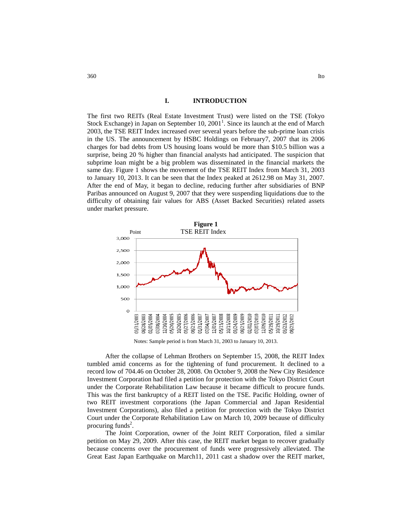#### **I. INTRODUCTION**

The first two REITs (Real Estate Investment Trust) were listed on the TSE (Tokyo Stock Exchange) in Japan on September 10,  $2001<sup>1</sup>$ . Since its launch at the end of March 2003, the TSE REIT Index increased over several years before the sub-prime loan crisis in the US. The announcement by HSBC Holdings on February7, 2007 that its 2006 charges for bad debts from US housing loans would be more than \$10.5 billion was a surprise, being 20 % higher than financial analysts had anticipated. The suspicion that subprime loan might be a big problem was disseminated in the financial markets the same day. Figure 1 shows the movement of the TSE REIT Index from March 31, 2003 to January 10, 2013. It can be seen that the Index peaked at 2612.98 on May 31, 2007. After the end of May, it began to decline, reducing further after subsidiaries of BNP Paribas announced on August 9, 2007 that they were suspending liquidations due to the difficulty of obtaining fair values for ABS (Asset Backed Securities) related assets under market pressure.



Notes: Sample period is from March 31, 2003 to January 10, 2013.

After the collapse of Lehman Brothers on September 15, 2008, the REIT Index tumbled amid concerns as for the tightening of fund procurement. It declined to a record low of 704.46 on October 28, 2008. On October 9, 2008 the New City Residence Investment Corporation had filed a petition for protection with the Tokyo District Court under the Corporate Rehabilitation Law because it became difficult to procure funds. This was the first bankruptcy of a REIT listed on the TSE. Pacific Holding, owner of two REIT investment corporations (the Japan Commercial and Japan Residential Investment Corporations), also filed a petition for protection with the Tokyo District Court under the Corporate Rehabilitation Law on March 10, 2009 because of difficulty procuring funds<sup>2</sup>.

The Joint Corporation, owner of the Joint REIT Corporation, filed a similar petition on May 29, 2009. After this case, the REIT market began to recover gradually because concerns over the procurement of funds were progressively alleviated. The Great East Japan Earthquake on March11, 2011 cast a shadow over the REIT market,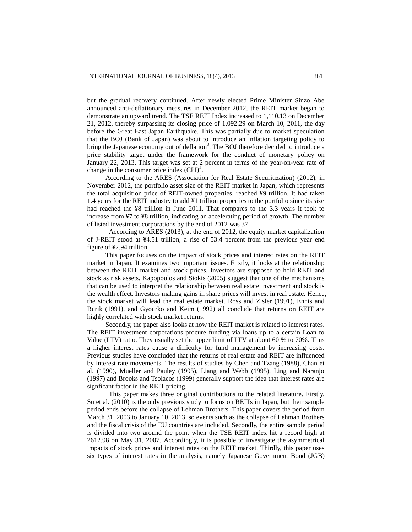but the gradual recovery continued. After newly elected Prime Minister Sinzo Abe announced anti-deflationary measures in December 2012, the REIT market began to demonstrate an upward trend. The TSE REIT Index increased to 1,110.13 on December 21, 2012, thereby surpassing its closing price of 1,092.29 on March 10, 2011, the day before the Great East Japan Earthquake. This was partially due to market speculation that the BOJ (Bank of Japan) was about to introduce an inflation targeting policy to bring the Japanese economy out of deflation<sup>3</sup>. The BOJ therefore decided to introduce a price stability target under the framework for the conduct of monetary policy on January 22, 2013. This target was set at 2 percent in terms of the year-on-year rate of change in the consumer price index  $(CPI)^4$ .

According to the ARES (Association for Real Estate Securitization) (2012), in November 2012, the portfolio asset size of the REIT market in Japan, which represents the total acquisition price of REIT-owned properties, reached ¥9 trillion. It had taken 1.4 years for the REIT industry to add ¥1 trillion properties to the portfolio since its size had reached the ¥8 trillion in June 2011. That compares to the 3.3 years it took to increase from ¥7 to ¥8 trillion, indicating an accelerating period of growth. The number of listed investment corporations by the end of 2012 was 37.

According to ARES (2013), at the end of 2012, the equity market capitalization of J-REIT stood at ¥4.51 trillion, a rise of 53.4 percent from the previous year end figure of ¥2.94 trillion.

This paper focuses on the impact of stock prices and interest rates on the REIT market in Japan. It examines two important issues. Firstly, it looks at the relationship between the REIT market and stock prices. Investors are supposed to hold REIT and stock as risk assets. Kapopoulos and Siokis (2005) suggest that one of the mechanisms that can be used to interpret the relationship between real estate investment and stock is the wealth effect. Investors making gains in share prices will invest in real estate. Hence, the stock market will lead the real estate market. Ross and Zisler (1991), Ennis and Burik (1991), and Gyourko and Keim (1992) all conclude that returns on REIT are highly correlated with stock market returns.

Secondly, the paper also looks at how the REIT market is related to interest rates. The REIT investment corporations procure funding via loans up to a certain Loan to Value (LTV) ratio. They usually set the upper limit of LTV at about 60 % to 70%. Thus a higher interest rates cause a difficulty for fund management by increasing costs. Previous studies have concluded that the returns of real estate and REIT are influenced by interest rate movements. The results of studies by Chen and Tzang (1988), Chan et al. (1990), Mueller and Pauley (1995), Liang and Webb (1995), Ling and Naranjo (1997) and Brooks and Tsolacos (1999) generally support the idea that interest rates are signficant factor in the REIT pricing.

This paper makes three original contributions to the related literature. Firstly, Su et al. (2010) is the only previous study to focus on REITs in Japan, but their sample period ends before the collapse of Lehman Brothers. This paper covers the period from March 31, 2003 to January 10, 2013, so events such as the collapse of Lehman Brothers and the fiscal crisis of the EU countries are included. Secondly, the entire sample period is divided into two around the point when the TSE REIT index hit a record high at 2612.98 on May 31, 2007. Accordingly, it is possible to investigate the asymmetrical impacts of stock prices and interest rates on the REIT market. Thirdly, this paper uses six types of interest rates in the analysis, namely Japanese Government Bond (JGB)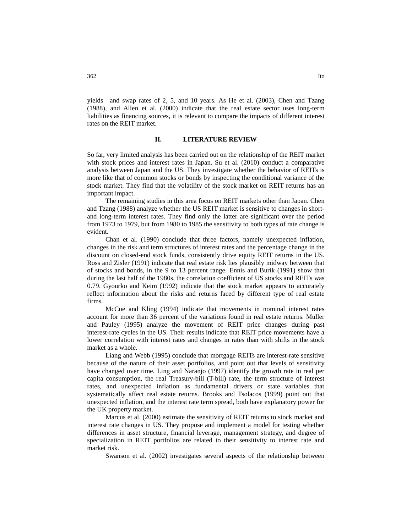yields and swap rates of 2, 5, and 10 years. As He et al. (2003), Chen and Tzang (1988), and Allen et al. (2000) indicate that the real estate sector uses long-term liabilities as financing sources, it is relevant to compare the impacts of different interest rates on the REIT market.

## **II. LITERATURE REVIEW**

So far, very limited analysis has been carried out on the relationship of the REIT market with stock prices and interest rates in Japan. Su et al. (2010) conduct a comparative analysis between Japan and the US. They investigate whether the behavior of REITs is more like that of common stocks or bonds by inspecting the conditional variance of the stock market. They find that the volatility of the stock market on REIT returns has an important impact.

The remaining studies in this area focus on REIT markets other than Japan. Chen and Tzang (1988) analyze whether the US REIT market is sensitive to changes in shortand long-term interest rates. They find only the latter are significant over the period from 1973 to 1979, but from 1980 to 1985 the sensitivity to both types of rate change is evident.

Chan et al. (1990) conclude that three factors, namely unexpected inflation, changes in the risk and term structures of interest rates and the percentage change in the discount on closed-end stock funds, consistently drive equity REIT returns in the US. Ross and Zisler (1991) indicate that real estate risk lies plausibly midway between that of stocks and bonds, in the 9 to 13 percent range. Ennis and Burik (1991) show that during the last half of the 1980s, the correlation coefficient of US stocks and REITs was 0.79. Gyourko and Keim (1992) indicate that the stock market appears to accurately reflect information about the risks and returns faced by different type of real estate firms.

McCue and Kling (1994) indicate that movements in nominal interest rates account for more than 36 percent of the variations found in real estate returns. Muller and Pauley (1995) analyze the movement of REIT price changes during past interest-rate cycles in the US. Their results indicate that REIT price movements have a lower correlation with interest rates and changes in rates than with shifts in the stock market as a whole.

Liang and Webb (1995) conclude that mortgage REITs are interest-rate sensitive because of the nature of their asset portfolios, and point out that levels of sensitivity have changed over time. Ling and Naranjo (1997) identify the growth rate in real per capita consumption, the real Treasury-bill (T-bill) rate, the term structure of interest rates, and unexpected inflation as fundamental drivers or state variables that systematically affect real estate returns. Brooks and Tsolacos (1999) point out that unexpected inflation, and the interest rate term spread, both have explanatory power for the UK property market.

Marcus et al. (2000) estimate the sensitivity of REIT returns to stock market and interest rate changes in US. They propose and implement a model for testing whether differences in asset structure, financial leverage, management strategy, and degree of specialization in REIT portfolios are related to their sensitivity to interest rate and market risk.

Swanson et al. (2002) investigates several aspects of the relationship between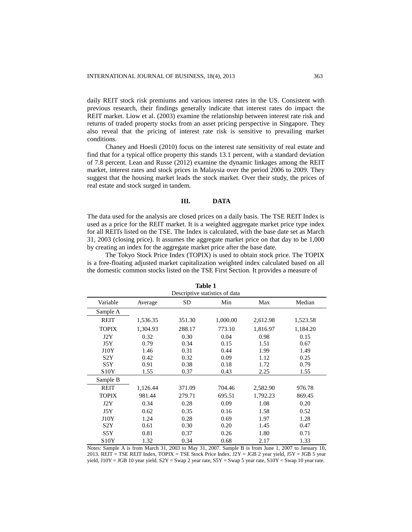daily REIT stock risk premiums and various interest rates in the US. Consistent with previous research, their findings generally indicate that interest rates do impact the REIT market. Liow et al. (2003) examine the relationship between interest rate risk and returns of traded property stocks from an asset pricing perspective in Singapore. They also reveal that the pricing of interest rate risk is sensitive to prevailing market conditions.

Chaney and Hoesli (2010) focus on the interest rate sensitivity of real estate and find that for a typical office property this stands 13.1 percent, with a standard deviation of 7.8 percent. Lean and Russe (2012) examine the dynamic linkages among the REIT market, interest rates and stock prices in Malaysia over the period 2006 to 2009. They suggest that the housing market leads the stock market. Over their study, the prices of real estate and stock surged in tandem.

# **III. DATA**

The data used for the analysis are closed prices on a daily basis. The TSE REIT Index is used as a price for the REIT market. It is a weighted aggregate market price type index for all REITs listed on the TSE. The Index is calculated, with the base date set as March 31, 2003 (closing price). It assumes the aggregate market price on that day to be 1,000 by creating an index for the aggregate market price after the base date.

The Tokyo Stock Price Index (TOPIX) is used to obtain stock price. The TOPIX is a free-floating adjusted market capitalization weighted index calculated based on all the domestic common stocks listed on the TSE First Section. It provides a measure of

| <b>Table 1</b>    |                                          |        |                      |          |          |  |
|-------------------|------------------------------------------|--------|----------------------|----------|----------|--|
|                   | Descriptive statistics of data           |        |                      |          |          |  |
| Variable          | Average                                  | SD     | Median<br>Min<br>Max |          |          |  |
| Sample A          |                                          |        |                      |          |          |  |
| <b>REIT</b>       | 1,536.35                                 | 351.30 | 1,000.00             | 2,612.98 | 1,523.58 |  |
| <b>TOPIX</b>      | 773.10<br>1,304.93<br>288.17<br>1,816.97 |        | 1,184.20             |          |          |  |
| J2Y               | 0.32                                     | 0.30   | 0.04                 | 0.98     | 0.15     |  |
| J5Y               | 0.79                                     | 0.34   | 0.15                 | 1.51     | 0.67     |  |
| J10Y              | 1.46                                     | 0.31   | 0.44                 | 1.99     | 1.49     |  |
| S <sub>2</sub> Y  | 0.42                                     | 0.32   | 0.09                 | 1.12     | 0.25     |  |
| S5Y               | 0.91                                     | 0.38   | 0.18                 | 1.72     | 0.79     |  |
| <b>S10Y</b>       | 1.55                                     | 0.37   | 0.43                 | 2.25     | 1.55     |  |
| Sample B          |                                          |        |                      |          |          |  |
| <b>REIT</b>       | 1,126.44                                 | 371.09 | 704.46               | 2,582.90 | 976.78   |  |
| <b>TOPIX</b>      | 981.44                                   | 279.71 | 695.51               | 1,792.23 | 869.45   |  |
| J2Y               | 0.34                                     | 0.28   | 0.09                 | 1.08     | 0.20     |  |
| J5Y               | 0.62                                     | 0.35   | 0.16                 | 1.58     | 0.52     |  |
| J10Y              | 1.24                                     | 0.28   | 0.69                 | 1.97     | 1.28     |  |
| S <sub>2</sub> Y  | 0.61                                     | 0.30   | 0.20                 | 1.45     | 0.47     |  |
| S5Y               | 0.81                                     | 0.37   | 0.26                 | 1.80     | 0.71     |  |
| S <sub>10</sub> Y | 1.32                                     | 0.34   | 0.68                 | 2.17     | 1.33     |  |

Notes: Sample A is from March 31, 2003 to May 31, 2007. Sample B is from June 1, 2007 to January 10, 2013. REIT = TSE REIT Index, TOPIX = TSE Stock Price Index.  $J2Y = JGB 2$  year yield,  $J5Y = JGB 5$  year yield,  $J10Y = JGB 10$  year yield.  $S2Y = Swap 2$  year rate,  $S5Y = Swap 5$  year rate,  $S10Y = Swap 10$  year rate.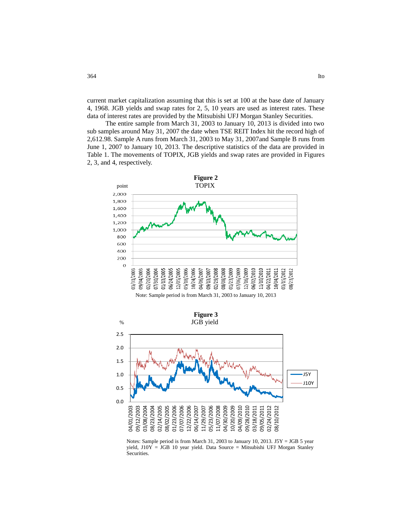current market capitalization assuming that this is set at 100 at the base date of January 4, 1968. JGB yields and swap rates for 2, 5, 10 years are used as interest rates. These data of interest rates are provided by the Mitsubishi UFJ Morgan Stanley Securities.

The entire sample from March 31, 2003 to January 10, 2013 is divided into two sub samples around May 31, 2007 the date when TSE REIT Index hit the record high of 2,612.98. Sample A runs from March 31, 2003 to May 31, 2007and Sample B runs from June 1, 2007 to January 10, 2013. The descriptive statistics of the data are provided in Table 1. The movements of TOPIX, JGB yields and swap rates are provided in Figures 2, 3, and 4, respectively.





Notes: Sample period is from March 31, 2003 to January 10, 2013.  $J5Y = JGB 5$  year yield, J10Y = JGB 10 year yield. Data Source = Mitsubishi UFJ Morgan Stanley Securities.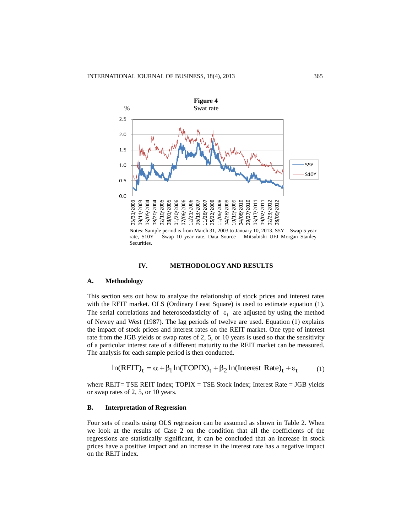

#### **IV. METHODOLOGY AND RESULTS**

#### **A. Methodology**

This section sets out how to analyze the relationship of stock prices and interest rates with the REIT market. OLS (Ordinary Least Square) is used to estimate equation (1). The serial correlations and heteroscedasticity of  $\epsilon_t$  are adjusted by using the method of Newey and West (1987). The lag periods of twelve are used. Equation (1) explains the impact of stock prices and interest rates on the REIT market. One type of interest rate from the JGB yields or swap rates of 2, 5, or 10 years is used so that the sensitivity of a particular interest rate of a different maturity to the REIT market can be measured. The analysis for each sample period is then conducted.

$$
\ln(REIT)_t = \alpha + \beta_1 \ln(TOPIX)_t + \beta_2 \ln(Interest Rate)_t + \varepsilon_t \tag{1}
$$

where REIT= TSE REIT Index;  $TOPIX = TSE$  Stock Index; Interest Rate = JGB yields or swap rates of 2, 5, or 10 years.

#### **B. Interpretation of Regression**

Four sets of results using OLS regression can be assumed as shown in Table 2. When we look at the results of Case 2 on the condition that all the coefficients of the regressions are statistically significant, it can be concluded that an increase in stock prices have a positive impact and an increase in the interest rate has a negative impact on the REIT index.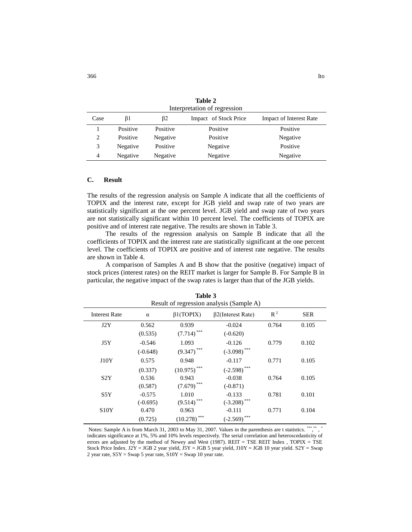| Interpretation of regression |          |          |                       |                                |  |
|------------------------------|----------|----------|-----------------------|--------------------------------|--|
| Case                         | β1       | ß2       | Impact of Stock Price | <b>Impact of Interest Rate</b> |  |
|                              | Positive | Positive | Positive              | Positive                       |  |
| $\overline{c}$               | Positive | Negative | Positive              | Negative                       |  |
| 3                            | Negative | Positive | Negative              | Positive                       |  |
| 4                            | Negative | Negative | Negative              | Negative                       |  |

**Table 2**

## **C. Result**

The results of the regression analysis on Sample A indicate that all the coefficients of TOPIX and the interest rate, except for JGB yield and swap rate of two years are statistically significant at the one percent level. JGB yield and swap rate of two years are not statistically significant within 10 percent level. The coefficients of TOPIX are positive and of interest rate negative. The results are shown in Table 3.

The results of the regression analysis on Sample B indicate that all the coefficients of TOPIX and the interest rate are statistically significant at the one percent level. The coefficients of TOPIX are positive and of interest rate negative. The results are shown in Table 4.

A comparison of Samples A and B show that the positive (negative) impact of stock prices (interest rates) on the REIT market is larger for Sample B. For Sample B in particular, the negative impact of the swap rates is larger than that of the JGB yields.

| Result of regression analysis (Sample A) |            |                 |                          |       |            |
|------------------------------------------|------------|-----------------|--------------------------|-------|------------|
| <b>Interest Rate</b>                     | $\alpha$   | $\beta1(TOPIX)$ | $\beta$ 2(Interest Rate) | $R^2$ | <b>SER</b> |
| J2Y                                      | 0.562      | 0.939           | $-0.024$                 | 0.764 | 0.105      |
|                                          | (0.535)    | (7.714)         | $(-0.620)$               |       |            |
| J5Y                                      | $-0.546$   | 1.093           | $-0.126$                 | 0.779 | 0.102      |
|                                          | $(-0.648)$ | $(9.347)$ ***   | $(-3.098)$ ***           |       |            |
| J10Y                                     | 0.575      | 0.948           | $-0.117$                 | 0.771 | 0.105      |
|                                          | (0.337)    | (10.975)        | $(-2.598)$ ***           |       |            |
| S <sub>2</sub> Y                         | 0.536      | 0.943           | $-0.038$                 | 0.764 | 0.105      |
|                                          | (0.587)    | (7.679)         | $(-0.871)$               |       |            |
| S5Y                                      | $-0.575$   | 1.010           | $-0.133$                 | 0.781 | 0.101      |
|                                          | $(-0.695)$ | ***<br>(9.514)  | $(-3.208)$ ***           |       |            |
| S10Y                                     | 0.470      | 0.963           | $-0.111$                 | 0.771 | 0.104      |
|                                          | (0.725)    | ***<br>(10.278) | $***$<br>$(-2.569)$      |       |            |

**Table 3**

Notes: Sample A is from March 31, 2003 to May 31, 2007. Values in the parenthesis are t statistics. \*\*\*,\*\* , \* indicates significance at 1%, 5% and 10% levels respectively. The serial correlation and heteroscedasticity of errors are adjusted by the method of Newey and West (1987). REIT = TSE REIT Index , TOPIX = TSE Stock Price Index. J2Y = JGB 2 year yield, J5Y = JGB 5 year yield, J10Y = JGB 10 year yield. S2Y = Swap 2 year rate, S5Y = Swap 5 year rate, S10Y = Swap 10 year rate.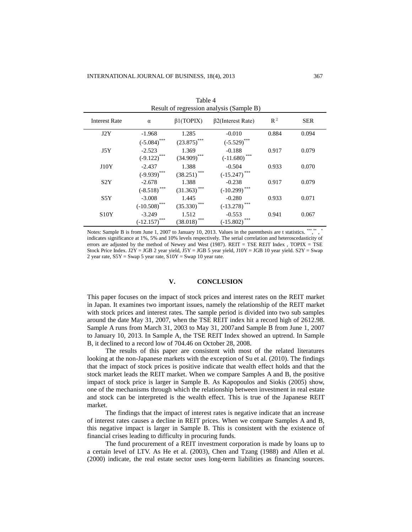| Table 4<br>Result of regression analysis (Sample B) |                 |                           |                                |       |            |
|-----------------------------------------------------|-----------------|---------------------------|--------------------------------|-------|------------|
| <b>Interest Rate</b>                                | $\alpha$        | $\beta1(TOPIX)$           | $\beta$ 2(Interest Rate)       | $R^2$ | <b>SER</b> |
| J2Y                                                 | $-1.968$        | 1.285                     | $-0.010$                       | 0.884 | 0.094      |
|                                                     | $(-5.084)$ ***  | $(23.875)$ ***            | $(-5.529)$ ***                 |       |            |
| J5Y                                                 | $-2.523$        | 1.369                     | $-0.188$                       | 0.917 | 0.079      |
|                                                     | $(-9.122)$ ***  | $(34.909)$ ***            | $\left( -11.680\right) ^{***}$ |       |            |
| J10Y                                                | $-2.437$        | 1.388                     | $-0.504$                       | 0.933 | 0.070      |
|                                                     | $(-9.939)$ ***  | $(38.251)$ <sup>***</sup> | $(-15.247)$ ***                |       |            |
| S <sub>2</sub> Y                                    | $-2.678$        | 1.388                     | $-0.238$                       | 0.917 | 0.079      |
|                                                     | $(-8.518)$ ***  | $(31.363)$ ***            | $(-10.299)$ ***                |       |            |
| S5Y                                                 | $-3.008$        | 1.445                     | $-0.280$                       | 0.933 | 0.071      |
|                                                     | $(-10.508)$ *** | $(35.330)$ ***            | $(-13.278)$ ***                |       |            |
| S <sub>10</sub> Y                                   | $-3.249$        | 1.512                     | $-0.553$                       | 0.941 | 0.067      |
|                                                     | $(-12.157)$ *** | $(38.018)$ ***            | $(-15.802)$ ***                |       |            |

 $T = 1 - 4$ 

| *** ** *<br>Notes: Sample B is from June 1, 2007 to January 10, 2013. Values in the parenthesis are t statistics. "","," |
|--------------------------------------------------------------------------------------------------------------------------|
| indicates significance at 1%, 5% and 10% levels respectively. The serial correlation and heteroscedasticity of           |
| errors are adjusted by the method of Newey and West (1987). REIT = TSE REIT Index, TOPIX = TSE                           |
| Stock Price Index. J2Y = JGB 2 year yield, J5Y = JGB 5 year yield, J10Y = JGB 10 year yield. S2Y = Swap                  |
| 2 year rate, $S5Y = Swap 5$ year rate, $S10Y = Swap 10$ year rate.                                                       |

#### **V. CONCLUSION**

This paper focuses on the impact of stock prices and interest rates on the REIT market in Japan. It examines two important issues, namely the relationship of the REIT market with stock prices and interest rates. The sample period is divided into two sub samples around the date May 31, 2007, when the TSE REIT index hit a record high of 2612.98. Sample A runs from March 31, 2003 to May 31, 2007and Sample B from June 1, 2007 to January 10, 2013. In Sample A, the TSE REIT Index showed an uptrend. In Sample B, it declined to a record low of 704.46 on October 28, 2008.

The results of this paper are consistent with most of the related literatures looking at the non-Japanese markets with the exception of Su et al. (2010). The findings that the impact of stock prices is positive indicate that wealth effect holds and that the stock market leads the REIT market. When we compare Samples A and B, the positive impact of stock price is larger in Sample B. As Kapopoulos and Siokis (2005) show, one of the mechanisms through which the relationship between investment in real estate and stock can be interpreted is the wealth effect. This is true of the Japanese REIT market.

The findings that the impact of interest rates is negative indicate that an increase of interest rates causes a decline in REIT prices. When we compare Samples A and B, this negative impact is larger in Sample B. This is consistent with the existence of financial crises leading to difficulty in procuring funds.

The fund procurement of a REIT investment corporation is made by loans up to a certain level of LTV. As He et al. (2003), Chen and Tzang (1988) and Allen et al. (2000) indicate, the real estate sector uses long-term liabilities as financing sources.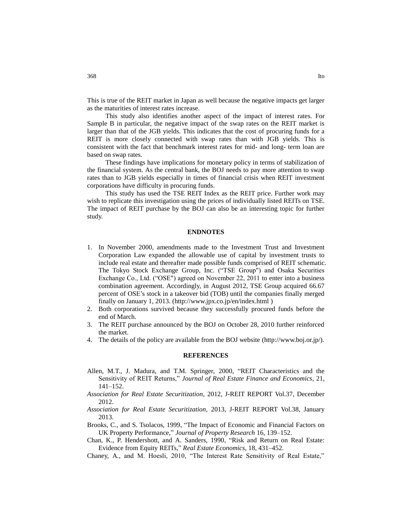This is true of the REIT market in Japan as well because the negative impacts get larger as the maturities of interest rates increase.

This study also identifies another aspect of the impact of interest rates. For Sample B in particular, the negative impact of the swap rates on the REIT market is larger than that of the JGB yields. This indicates that the cost of procuring funds for a REIT is more closely connected with swap rates than with JGB yields. This is consistent with the fact that benchmark interest rates for mid- and long- term loan are based on swap rates.

These findings have implications for monetary policy in terms of stabilization of the financial system. As the central bank, the BOJ needs to pay more attention to swap rates than to JGB yields especially in times of financial crisis when REIT investment corporations have difficulty in procuring funds.

This study has used the TSE REIT Index as the REIT price. Further work may wish to replicate this investigation using the prices of individually listed REITs on TSE. The impact of REIT purchase by the BOJ can also be an interesting topic for further study.

#### **ENDNOTES**

- 1. In November 2000, amendments made to the Investment Trust and Investment Corporation Law expanded the allowable use of capital by investment trusts to include real estate and thereafter made possible funds comprised of REIT schematic. The Tokyo Stock Exchange Group, Inc. ("TSE Group") and Osaka Securities Exchange Co., Ltd. ("OSE") agreed on November 22, 2011 to enter into a business combination agreement. Accordingly, in August 2012, TSE Group acquired 66.67 percent of OSE's stock in a takeover bid (TOB) until the companies finally merged finally on January 1, 2013. (http://www.jpx.co.jp/en/index.html )
- 2. Both corporations survived because they successfully procured funds before the end of March.
- 3. The REIT purchase announced by the BOJ on October 28, 2010 further reinforced the market.
- 4. The details of the policy are available from the BOJ website (http://www.boj.or.jp/).

#### **REFERENCES**

- Allen, M.T., J. Madura, and T.M. Springer, 2000, "REIT Characteristics and the Sensitivity of REIT Returns," *Journal of Real Estate Finance and Economics*, 21, 141–152.
- *Association for Real Estate Securitization*, 2012, J-REIT REPORT Vol.37, December 2012.
- *Association for Real Estate Securitization*, 2013, J-REIT REPORT Vol.38, January 2013.
- Brooks, C., and S. Tsolacos, 1999, "The Impact of Economic and Financial Factors on UK Property Performance," *Journal of Property Research* 16, 139–152.
- Chan, K., P. Hendershott, and A. Sanders, 1990, "Risk and Return on Real Estate: Evidence from Equity REITs," *Real Estate Economics*, 18, 431–452.
- Chaney, A., and M. Hoesli, 2010, "The Interest Rate Sensitivity of Real Estate,"